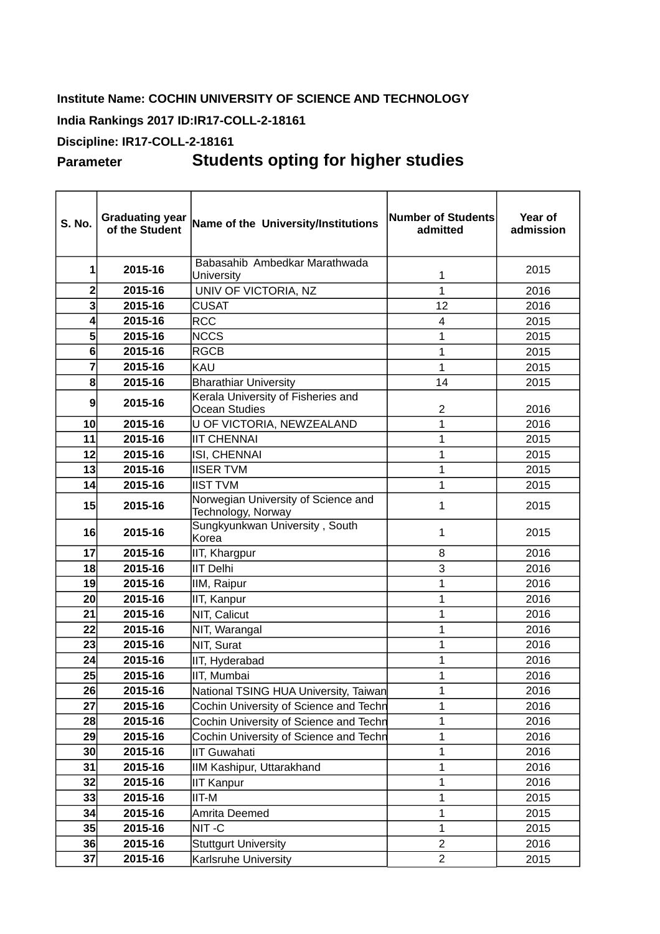## **Institute Name: COCHIN UNIVERSITY OF SCIENCE AND TECHNOLOGY**

## **India Rankings 2017 ID:IR17-COLL-2-18161**

## **Discipline: IR17-COLL-2-18161**

## **Parameter Students opting for higher studies**

| <b>S. No.</b>  | <b>Graduating year</b><br>of the Student | Name of the University/Institutions                       | Number of Students<br>admitted | Year of<br>admission |
|----------------|------------------------------------------|-----------------------------------------------------------|--------------------------------|----------------------|
| 1              | 2015-16                                  | Babasahib Ambedkar Marathwada<br>University               | 1                              | 2015                 |
| $\overline{c}$ | 2015-16                                  | UNIV OF VICTORIA, NZ                                      | $\mathbf{1}$                   | 2016                 |
| 3              | 2015-16                                  | <b>CUSAT</b>                                              | 12                             | 2016                 |
| 4              | 2015-16                                  | <b>RCC</b>                                                | 4                              | 2015                 |
| 5              | 2015-16                                  | <b>NCCS</b>                                               | $\mathbf{1}$                   | 2015                 |
| 6              | 2015-16                                  | <b>RGCB</b>                                               | $\overline{1}$                 | 2015                 |
| 7              | 2015-16                                  | KAU                                                       | $\mathbf{1}$                   | 2015                 |
| 8              | 2015-16                                  | <b>Bharathiar University</b>                              | 14                             | 2015                 |
| 9              | 2015-16                                  | Kerala University of Fisheries and<br>Ocean Studies       | $\overline{c}$                 | 2016                 |
| 10             | 2015-16                                  | U OF VICTORIA, NEWZEALAND                                 | 1                              | 2016                 |
| 11             | 2015-16                                  | <b>IIT CHENNAI</b>                                        | $\mathbf{1}$                   | 2015                 |
| 12             | 2015-16                                  | ISI, CHENNAI                                              | $\mathbf{1}$                   | 2015                 |
| 13             | 2015-16                                  | <b>IISER TVM</b>                                          | $\mathbf{1}$                   | 2015                 |
| 14             | 2015-16                                  | <b>IIST TVM</b>                                           | $\mathbf 1$                    | 2015                 |
| 15             | 2015-16                                  | Norwegian University of Science and<br>Technology, Norway | $\mathbf{1}$                   | 2015                 |
| 16             | 2015-16                                  | Sungkyunkwan University, South<br>Korea                   | 1                              | 2015                 |
| 17             | 2015-16                                  | IIT, Khargpur                                             | 8                              | 2016                 |
| 18             | 2015-16                                  | <b>IIT Delhi</b>                                          | 3                              | 2016                 |
| 19             | 2015-16                                  | IIM, Raipur                                               | $\mathbf 1$                    | 2016                 |
| 20             | 2015-16                                  | IIT, Kanpur                                               | $\mathbf{1}$                   | 2016                 |
| 21             | 2015-16                                  | NIT, Calicut                                              | $\mathbf{1}$                   | 2016                 |
| 22             | 2015-16                                  | NIT, Warangal                                             | 1                              | 2016                 |
| 23             | 2015-16                                  | NIT, Surat                                                | $\mathbf 1$                    | 2016                 |
| 24             | 2015-16                                  | IIT, Hyderabad                                            | $\mathbf{1}$                   | 2016                 |
| 25             | 2015-16                                  | IIT, Mumbai                                               | $\mathbf{1}$                   | 2016                 |
| 26             | 2015-16                                  | National TSING HUA University, Taiwan                     | $\mathbf 1$                    | 2016                 |
| 27             | 2015-16                                  | Cochin University of Science and Techn                    | $\mathbf 1$                    | 2016                 |
| 28             | 2015-16                                  | Cochin University of Science and Techn                    | $\mathbf{1}$                   | 2016                 |
| 29             | 2015-16                                  | Cochin University of Science and Techn                    | $\mathbf{1}$                   | 2016                 |
| 30             | 2015-16                                  | <b>IIT Guwahati</b>                                       | $\mathbf 1$                    | 2016                 |
| 31             | 2015-16                                  | IIM Kashipur, Uttarakhand                                 | $\mathbf{1}$                   | 2016                 |
| 32             | 2015-16                                  | <b>IIT Kanpur</b>                                         | $\mathbf 1$                    | 2016                 |
| 33             | 2015-16                                  | IIT-M                                                     | $\mathbf 1$                    | 2015                 |
| 34             | 2015-16                                  | Amrita Deemed                                             | $1\,$                          | 2015                 |
| 35             | 2015-16                                  | NIT-C                                                     | $\mathbf{1}$                   | 2015                 |
| 36             | 2015-16                                  | <b>Stuttgurt University</b>                               | $\overline{c}$                 | 2016                 |
| 37             | 2015-16                                  | <b>Karlsruhe University</b>                               | $\overline{c}$                 | 2015                 |